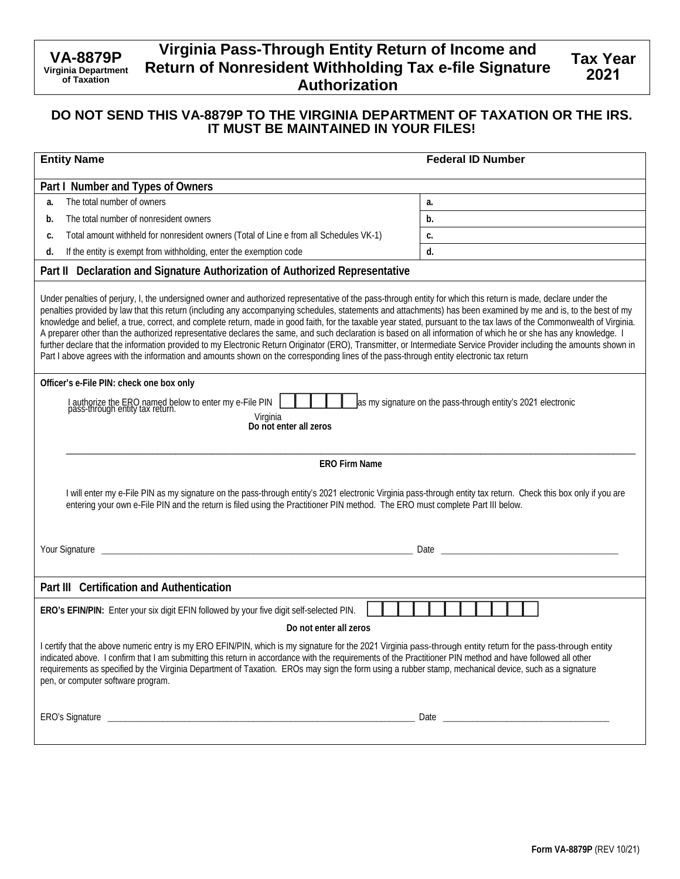# **Virginia Pass-Through Entity Return of Income and Return of Nonresident Withholding Tax e-file Signature Authorization**

## **DO NOT SEND THIS VA-8879P TO THE VIRGINIA DEPARTMENT OF TAXATION OR THE IRS. IT MUST BE MAINTAINED IN YOUR FILES!**

| <b>Entity Name</b>                                                                                                                                                                                                                                                                                                                                                                                                                                                                                                                                                                                                                                                                                                                                                                                                                                                                                                                                                                                                                           | <b>Federal ID Number</b> |  |
|----------------------------------------------------------------------------------------------------------------------------------------------------------------------------------------------------------------------------------------------------------------------------------------------------------------------------------------------------------------------------------------------------------------------------------------------------------------------------------------------------------------------------------------------------------------------------------------------------------------------------------------------------------------------------------------------------------------------------------------------------------------------------------------------------------------------------------------------------------------------------------------------------------------------------------------------------------------------------------------------------------------------------------------------|--------------------------|--|
| Part I Number and Types of Owners                                                                                                                                                                                                                                                                                                                                                                                                                                                                                                                                                                                                                                                                                                                                                                                                                                                                                                                                                                                                            |                          |  |
| The total number of owners<br>a.                                                                                                                                                                                                                                                                                                                                                                                                                                                                                                                                                                                                                                                                                                                                                                                                                                                                                                                                                                                                             | a.                       |  |
| The total number of nonresident owners<br>b.                                                                                                                                                                                                                                                                                                                                                                                                                                                                                                                                                                                                                                                                                                                                                                                                                                                                                                                                                                                                 | b.                       |  |
| Total amount withheld for nonresident owners (Total of Line e from all Schedules VK-1)<br>c.                                                                                                                                                                                                                                                                                                                                                                                                                                                                                                                                                                                                                                                                                                                                                                                                                                                                                                                                                 | c.                       |  |
| If the entity is exempt from withholding, enter the exemption code<br>d.                                                                                                                                                                                                                                                                                                                                                                                                                                                                                                                                                                                                                                                                                                                                                                                                                                                                                                                                                                     | d.                       |  |
| Part II Declaration and Signature Authorization of Authorized Representative                                                                                                                                                                                                                                                                                                                                                                                                                                                                                                                                                                                                                                                                                                                                                                                                                                                                                                                                                                 |                          |  |
| Under penalties of perjury, I, the undersigned owner and authorized representative of the pass-through entity for which this return is made, declare under the<br>penalties provided by law that this return (including any accompanying schedules, statements and attachments) has been examined by me and is, to the best of my<br>knowledge and belief, a true, correct, and complete return, made in good faith, for the taxable year stated, pursuant to the tax laws of the Commonwealth of Virginia.<br>A preparer other than the authorized representative declares the same, and such declaration is based on all information of which he or she has any knowledge. I<br>further declare that the information provided to my Electronic Return Originator (ERO), Transmitter, or Intermediate Service Provider including the amounts shown in<br>Part I above agrees with the information and amounts shown on the corresponding lines of the pass-through entity electronic tax return<br>Officer's e-File PIN: check one box only |                          |  |
| I authorize the ERO named below to enter my e-File PIN<br>pass-through entity tax return.<br>as my signature on the pass-through entity's 2021 electronic<br>Virginia<br>Do not enter all zeros                                                                                                                                                                                                                                                                                                                                                                                                                                                                                                                                                                                                                                                                                                                                                                                                                                              |                          |  |
| <b>ERO Firm Name</b>                                                                                                                                                                                                                                                                                                                                                                                                                                                                                                                                                                                                                                                                                                                                                                                                                                                                                                                                                                                                                         |                          |  |
| I will enter my e-File PIN as my signature on the pass-through entity's 2021 electronic Virginia pass-through entity tax return. Check this box only if you are<br>entering your own e-File PIN and the return is filed using the Practitioner PIN method. The ERO must complete Part III below.                                                                                                                                                                                                                                                                                                                                                                                                                                                                                                                                                                                                                                                                                                                                             |                          |  |
| Date experience and the contract of the contract of the contract of the contract of the contract of the contract of the contract of the contract of the contract of the contract of the contract of the contract of the contra                                                                                                                                                                                                                                                                                                                                                                                                                                                                                                                                                                                                                                                                                                                                                                                                               |                          |  |
| Part III Certification and Authentication                                                                                                                                                                                                                                                                                                                                                                                                                                                                                                                                                                                                                                                                                                                                                                                                                                                                                                                                                                                                    |                          |  |
| ERO's EFIN/PIN: Enter your six digit EFIN followed by your five digit self-selected PIN.                                                                                                                                                                                                                                                                                                                                                                                                                                                                                                                                                                                                                                                                                                                                                                                                                                                                                                                                                     |                          |  |
| Do not enter all zeros                                                                                                                                                                                                                                                                                                                                                                                                                                                                                                                                                                                                                                                                                                                                                                                                                                                                                                                                                                                                                       |                          |  |
| I certify that the above numeric entry is my ERO EFIN/PIN, which is my signature for the 2021 Virginia pass-through entity return for the pass-through entity<br>indicated above. I confirm that I am submitting this return in accordance with the requirements of the Practitioner PIN method and have followed all other<br>requirements as specified by the Virginia Department of Taxation. EROs may sign the form using a rubber stamp, mechanical device, such as a signature<br>pen, or computer software program.                                                                                                                                                                                                                                                                                                                                                                                                                                                                                                                   |                          |  |
|                                                                                                                                                                                                                                                                                                                                                                                                                                                                                                                                                                                                                                                                                                                                                                                                                                                                                                                                                                                                                                              |                          |  |